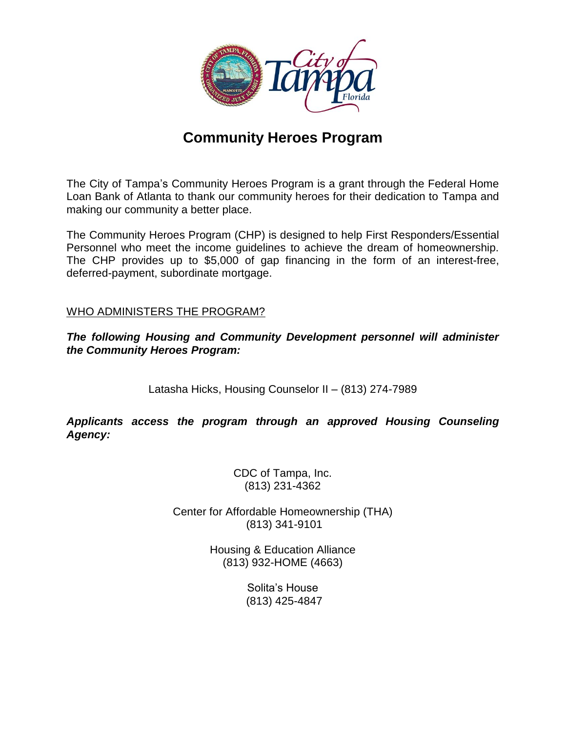

# **Community Heroes Program**

The City of Tampa's Community Heroes Program is a grant through the Federal Home Loan Bank of Atlanta to thank our community heroes for their dedication to Tampa and making our community a better place.

The Community Heroes Program (CHP) is designed to help First Responders/Essential Personnel who meet the income guidelines to achieve the dream of homeownership. The CHP provides up to \$5,000 of gap financing in the form of an interest-free, deferred-payment, subordinate mortgage.

### WHO ADMINISTERS THE PROGRAM?

*The following Housing and Community Development personnel will administer the Community Heroes Program:*

Latasha Hicks, Housing Counselor II – (813) 274-7989

*Applicants access the program through an approved Housing Counseling Agency:*

> CDC of Tampa, Inc. (813) 231-4362

Center for Affordable Homeownership (THA) (813) 341-9101

> Housing & Education Alliance (813) 932-HOME (4663)

> > Solita's House (813) 425-4847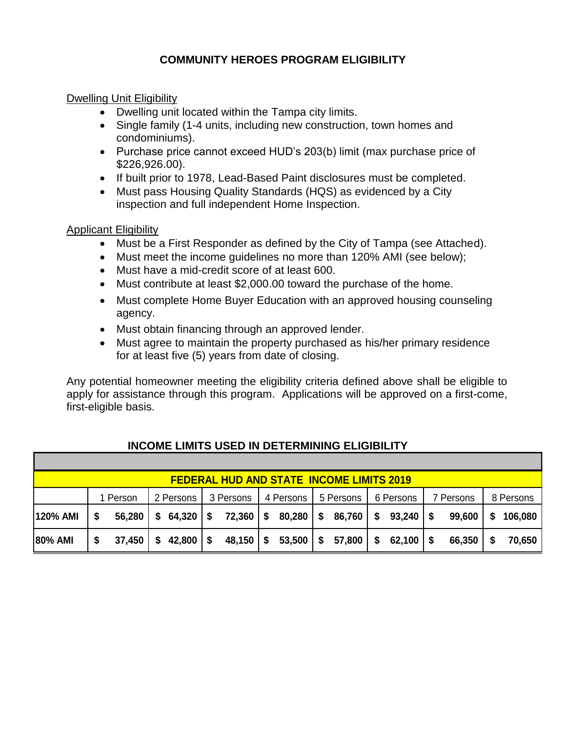# **COMMUNITY HEROES PROGRAM ELIGIBILITY**

### Dwelling Unit Eligibility

- Dwelling unit located within the Tampa city limits.
- Single family (1-4 units, including new construction, town homes and condominiums).
- Purchase price cannot exceed HUD's 203(b) limit (max purchase price of \$226,926.00).
- If built prior to 1978, Lead-Based Paint disclosures must be completed.
- Must pass Housing Quality Standards (HQS) as evidenced by a City inspection and full independent Home Inspection.

#### Applicant Eligibility

- Must be a First Responder as defined by the City of Tampa (see Attached).
- Must meet the income guidelines no more than 120% AMI (see below);
- Must have a mid-credit score of at least 600.
- Must contribute at least \$2,000.00 toward the purchase of the home.
- Must complete Home Buyer Education with an approved housing counseling agency.
- Must obtain financing through an approved lender.
- Must agree to maintain the property purchased as his/her primary residence for at least five (5) years from date of closing.

Any potential homeowner meeting the eligibility criteria defined above shall be eligible to apply for assistance through this program. Applications will be approved on a first-come, first-eligible basis.

| <b>FEDERAL HUD AND STATE INCOME LIMITS 2019</b> |          |        |           |               |             |                     |           |                        |           |        |            |                     |           |        |           |         |
|-------------------------------------------------|----------|--------|-----------|---------------|-------------|---------------------|-----------|------------------------|-----------|--------|------------|---------------------|-----------|--------|-----------|---------|
|                                                 | 1 Person |        | 2 Persons |               | 3 Persons I |                     | 4 Persons |                        | 5 Persons |        | 6 Persons  |                     | 7 Persons |        | 8 Persons |         |
| <b>120% AMI</b>                                 |          | 56,280 |           | $$64,320$ $$$ |             | 72,360   \$         |           | $80,280$ $\frac{8}{3}$ |           | 86,760 | $\sqrt{3}$ | $93,240$ \$         |           | 99,600 | -S        | 106,080 |
| <b>80% AMI</b>                                  | \$       | 37,450 | \$        | $42,800$   \$ |             | $48,150$ $\sqrt{5}$ |           | $53,500$   \$          |           | 57,800 | $\sqrt{5}$ | $62,100$ $\sqrt{$}$ |           | 66,350 |           | 70,650  |

# **INCOME LIMITS USED IN DETERMINING ELIGIBILITY**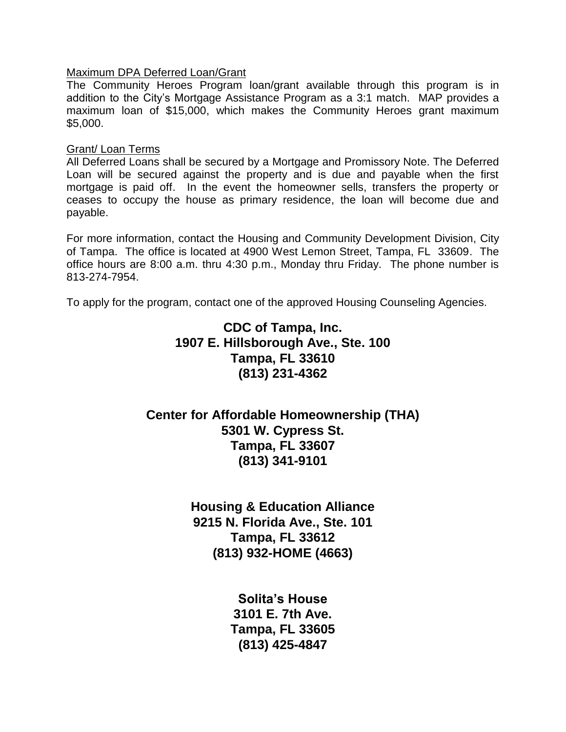#### Maximum DPA Deferred Loan/Grant

The Community Heroes Program loan/grant available through this program is in addition to the City's Mortgage Assistance Program as a 3:1 match. MAP provides a maximum loan of \$15,000, which makes the Community Heroes grant maximum \$5,000.

#### Grant/ Loan Terms

All Deferred Loans shall be secured by a Mortgage and Promissory Note. The Deferred Loan will be secured against the property and is due and payable when the first mortgage is paid off. In the event the homeowner sells, transfers the property or ceases to occupy the house as primary residence, the loan will become due and payable.

For more information, contact the Housing and Community Development Division, City of Tampa. The office is located at 4900 West Lemon Street, Tampa, FL 33609. The office hours are 8:00 a.m. thru 4:30 p.m., Monday thru Friday. The phone number is 813-274-7954.

To apply for the program, contact one of the approved Housing Counseling Agencies.

# **CDC of Tampa, Inc. 1907 E. Hillsborough Ave., Ste. 100 Tampa, FL 33610 (813) 231-4362**

# **Center for Affordable Homeownership (THA) 5301 W. Cypress St. Tampa, FL 33607 (813) 341-9101**

**Housing & Education Alliance 9215 N. Florida Ave., Ste. 101 Tampa, FL 33612 (813) 932-HOME (4663)**

> **Solita's House 3101 E. 7th Ave. Tampa, FL 33605 (813) 425-4847**